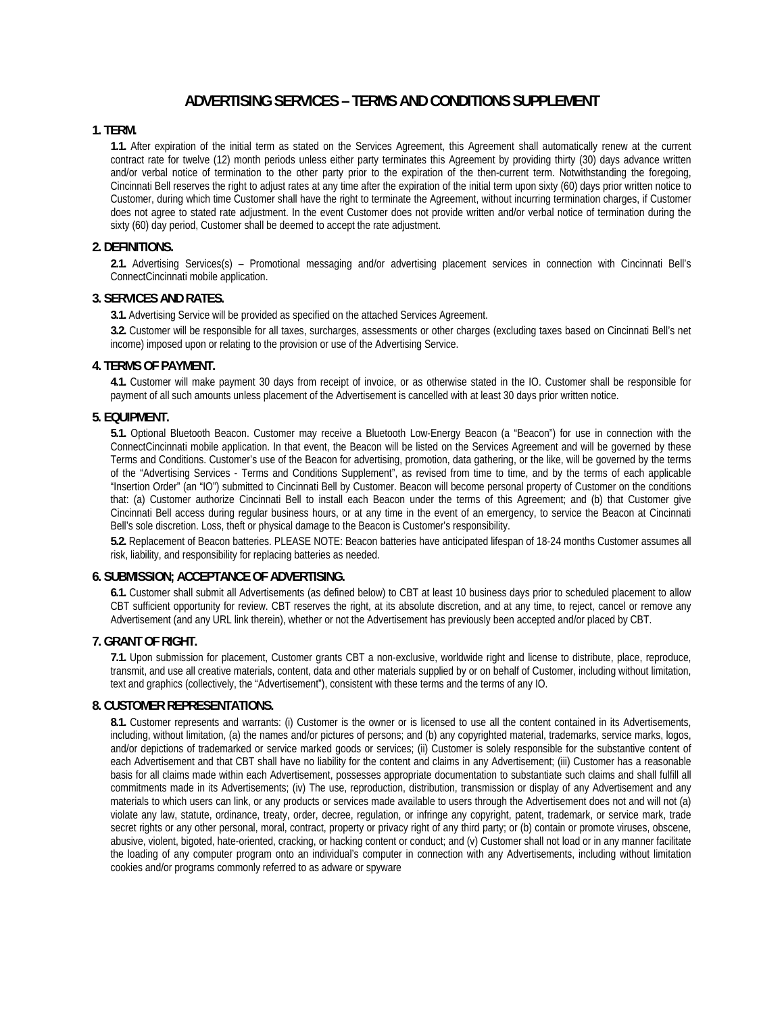# **ADVERTISING SERVICES – TERMS AND CONDITIONS SUPPLEMENT**

## **1. TERM.**

**1.1.** After expiration of the initial term as stated on the Services Agreement, this Agreement shall automatically renew at the current contract rate for twelve (12) month periods unless either party terminates this Agreement by providing thirty (30) days advance written and/or verbal notice of termination to the other party prior to the expiration of the then-current term. Notwithstanding the foregoing, Cincinnati Bell reserves the right to adjust rates at any time after the expiration of the initial term upon sixty (60) days prior written notice to Customer, during which time Customer shall have the right to terminate the Agreement, without incurring termination charges, if Customer does not agree to stated rate adjustment. In the event Customer does not provide written and/or verbal notice of termination during the sixty (60) day period, Customer shall be deemed to accept the rate adjustment.

## **2. DEFINITIONS.**

**2.1.** Advertising Services(s) – Promotional messaging and/or advertising placement services in connection with Cincinnati Bell's ConnectCincinnati mobile application.

## **3. SERVICES AND RATES.**

**3.1.** Advertising Service will be provided as specified on the attached Services Agreement.

**3.2.** Customer will be responsible for all taxes, surcharges, assessments or other charges (excluding taxes based on Cincinnati Bell's net income) imposed upon or relating to the provision or use of the Advertising Service.

## **4. TERMS OF PAYMENT.**

**4.1.** Customer will make payment 30 days from receipt of invoice, or as otherwise stated in the IO. Customer shall be responsible for payment of all such amounts unless placement of the Advertisement is cancelled with at least 30 days prior written notice.

#### **5. EQUIPMENT.**

**5.1.** Optional Bluetooth Beacon. Customer may receive a Bluetooth Low-Energy Beacon (a "Beacon") for use in connection with the ConnectCincinnati mobile application. In that event, the Beacon will be listed on the Services Agreement and will be governed by these Terms and Conditions. Customer's use of the Beacon for advertising, promotion, data gathering, or the like, will be governed by the terms of the "Advertising Services - Terms and Conditions Supplement", as revised from time to time, and by the terms of each applicable "Insertion Order" (an "IO") submitted to Cincinnati Bell by Customer. Beacon will become personal property of Customer on the conditions that: (a) Customer authorize Cincinnati Bell to install each Beacon under the terms of this Agreement; and (b) that Customer give Cincinnati Bell access during regular business hours, or at any time in the event of an emergency, to service the Beacon at Cincinnati Bell's sole discretion. Loss, theft or physical damage to the Beacon is Customer's responsibility.

**5.2.** Replacement of Beacon batteries. PLEASE NOTE: Beacon batteries have anticipated lifespan of 18-24 months Customer assumes all risk, liability, and responsibility for replacing batteries as needed.

#### **6. SUBMISSION; ACCEPTANCE OF ADVERTISING.**

**6.1.** Customer shall submit all Advertisements (as defined below) to CBT at least 10 business days prior to scheduled placement to allow CBT sufficient opportunity for review. CBT reserves the right, at its absolute discretion, and at any time, to reject, cancel or remove any Advertisement (and any URL link therein), whether or not the Advertisement has previously been accepted and/or placed by CBT.

#### **7. GRANT OF RIGHT.**

**7.1.** Upon submission for placement, Customer grants CBT a non-exclusive, worldwide right and license to distribute, place, reproduce, transmit, and use all creative materials, content, data and other materials supplied by or on behalf of Customer, including without limitation, text and graphics (collectively, the "Advertisement"), consistent with these terms and the terms of any IO.

#### **8. CUSTOMER REPRESENTATIONS.**

**8.1.** Customer represents and warrants: (i) Customer is the owner or is licensed to use all the content contained in its Advertisements, including, without limitation, (a) the names and/or pictures of persons; and (b) any copyrighted material, trademarks, service marks, logos, and/or depictions of trademarked or service marked goods or services; (ii) Customer is solely responsible for the substantive content of each Advertisement and that CBT shall have no liability for the content and claims in any Advertisement; (iii) Customer has a reasonable basis for all claims made within each Advertisement, possesses appropriate documentation to substantiate such claims and shall fulfill all commitments made in its Advertisements; (iv) The use, reproduction, distribution, transmission or display of any Advertisement and any materials to which users can link, or any products or services made available to users through the Advertisement does not and will not (a) violate any law, statute, ordinance, treaty, order, decree, regulation, or infringe any copyright, patent, trademark, or service mark, trade secret rights or any other personal, moral, contract, property or privacy right of any third party; or (b) contain or promote viruses, obscene, abusive, violent, bigoted, hate-oriented, cracking, or hacking content or conduct; and (v) Customer shall not load or in any manner facilitate the loading of any computer program onto an individual's computer in connection with any Advertisements, including without limitation cookies and/or programs commonly referred to as adware or spyware